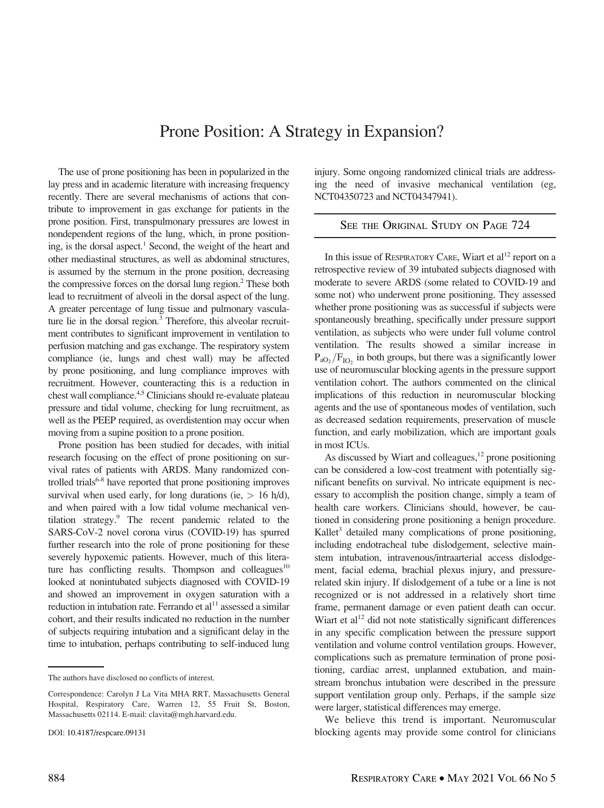## Prone Position: A Strategy in Expansion?

The use of prone positioning has been in popularized in the lay press and in academic literature with increasing frequency recently. There are several mechanisms of actions that contribute to improvement in gas exchange for patients in the prone position. First, transpulmonary pressures are lowest in nondependent regions of the lung, which, in prone positioning, is the dorsal aspect.<sup>1</sup> Second, the weight of the heart and other mediastinal structures, as well as abdominal structures, is assumed by the sternum in the prone position, decreasing the compressive forces on the dorsal lung region.<sup>2</sup> These both lead to recruitment of alveoli in the dorsal aspect of the lung. A greater percentage of lung tissue and pulmonary vasculature lie in the dorsal region.<sup>3</sup> Therefore, this alveolar recruitment contributes to significant improvement in ventilation to perfusion matching and gas exchange. The respiratory system compliance (ie, lungs and chest wall) may be affected by prone positioning, and lung compliance improves with recruitment. However, counteracting this is a reduction in chest wall compliance.<sup>4,5</sup> Clinicians should re-evaluate plateau pressure and tidal volume, checking for lung recruitment, as well as the PEEP required, as overdistention may occur when moving from a supine position to a prone position.

Prone position has been studied for decades, with initial research focusing on the effect of prone positioning on survival rates of patients with ARDS. Many randomized controlled trials<sup>6-8</sup> have reported that prone positioning improves survival when used early, for long durations (ie,  $> 16$  h/d), and when paired with a low tidal volume mechanical ventilation strategy.9 The recent pandemic related to the SARS-CoV-2 novel corona virus (COVID-19) has spurred further research into the role of prone positioning for these severely hypoxemic patients. However, much of this literature has conflicting results. Thompson and colleagues $10$ looked at nonintubated subjects diagnosed with COVID-19 and showed an improvement in oxygen saturation with a reduction in intubation rate. Ferrando et  $al<sup>11</sup>$  assessed a similar cohort, and their results indicated no reduction in the number of subjects requiring intubation and a significant delay in the time to intubation, perhaps contributing to self-induced lung

The authors have disclosed no conflicts of interest.

In this issue of RESPIRATORY CARE, Wiart et al<sup>12</sup> report on a SEE THE ORIGINAL STUDY ON PAGE 724

NCT04350723 and NCT04347941).

retrospective review of 39 intubated subjects diagnosed with moderate to severe ARDS (some related to COVID-19 and some not) who underwent prone positioning. They assessed whether prone positioning was as successful if subjects were spontaneously breathing, specifically under pressure support ventilation, as subjects who were under full volume control ventilation. The results showed a similar increase in  $P_{aO_2}/F_{IO_2}$  in both groups, but there was a significantly lower use of neuromuscular blocking agents in the pressure support ventilation cohort. The authors commented on the clinical implications of this reduction in neuromuscular blocking agents and the use of spontaneous modes of ventilation, such as decreased sedation requirements, preservation of muscle function, and early mobilization, which are important goals in most ICUs.

injury. Some ongoing randomized clinical trials are addressing the need of invasive mechanical ventilation (eg,

As discussed by Wiart and colleagues, $12$  prone positioning can be considered a low-cost treatment with potentially significant benefits on survival. No intricate equipment is necessary to accomplish the position change, simply a team of health care workers. Clinicians should, however, be cautioned in considering prone positioning a benign procedure. Kallet<sup>3</sup> detailed many complications of prone positioning, including endotracheal tube dislodgement, selective mainstem intubation, intravenous/intraarterial access dislodgement, facial edema, brachial plexus injury, and pressurerelated skin injury. If dislodgement of a tube or a line is not recognized or is not addressed in a relatively short time frame, permanent damage or even patient death can occur. Wiart et  $al<sup>12</sup>$  did not note statistically significant differences in any specific complication between the pressure support ventilation and volume control ventilation groups. However, complications such as premature termination of prone positioning, cardiac arrest, unplanned extubation, and mainstream bronchus intubation were described in the pressure support ventilation group only. Perhaps, if the sample size were larger, statistical differences may emerge.

We believe this trend is important. Neuromuscular blocking agents may provide some control for clinicians

Correspondence: Carolyn J La Vita MHA RRT, Massachusetts General Hospital, Respiratory Care, Warren 12, 55 Fruit St, Boston, Massachusetts 02114. E-mail: [clavita@mgh.harvard.edu](mailto:clavita@mgh.harvard.edu).

DOI: 10.4187/respcare.09131